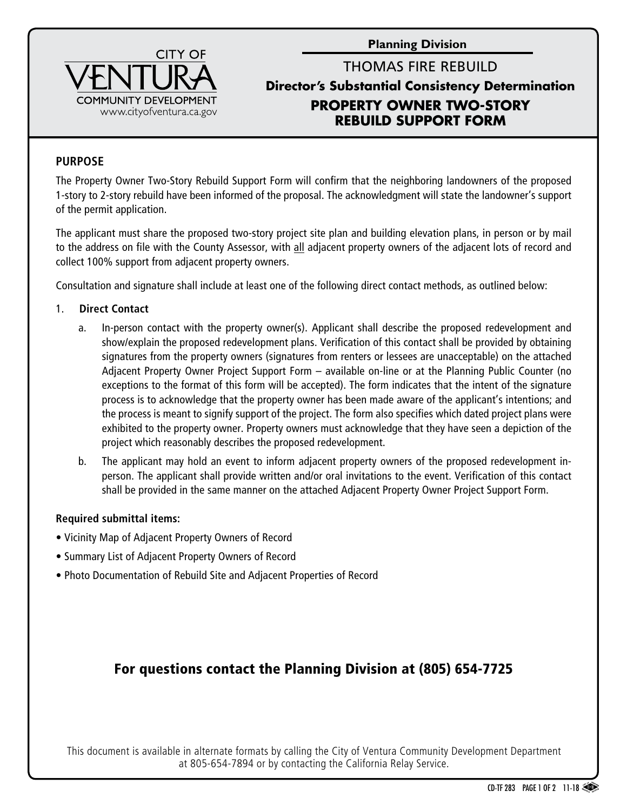**Planning Division**



## THOMAS FIRE REBUILD **Director's Substantial Consistency Determination PROPERTY OWNER TWO-STORY REBUILD SUPPORT FORM**

#### **PURPOSE**

The Property Owner Two-Story Rebuild Support Form will confirm that the neighboring landowners of the proposed 1-story to 2-story rebuild have been informed of the proposal. The acknowledgment will state the landowner's support of the permit application.

The applicant must share the proposed two-story project site plan and building elevation plans, in person or by mail to the address on file with the County Assessor, with all adjacent property owners of the adjacent lots of record and collect 100% support from adjacent property owners.

Consultation and signature shall include at least one of the following direct contact methods, as outlined below:

#### 1. **Direct Contact**

- a. In-person contact with the property owner(s). Applicant shall describe the proposed redevelopment and show/explain the proposed redevelopment plans. Verification of this contact shall be provided by obtaining signatures from the property owners (signatures from renters or lessees are unacceptable) on the attached Adjacent Property Owner Project Support Form – available on-line or at the Planning Public Counter (no exceptions to the format of this form will be accepted). The form indicates that the intent of the signature process is to acknowledge that the property owner has been made aware of the applicant's intentions; and the process is meant to signify support of the project. The form also specifies which dated project plans were exhibited to the property owner. Property owners must acknowledge that they have seen a depiction of the project which reasonably describes the proposed redevelopment.
- b. The applicant may hold an event to inform adjacent property owners of the proposed redevelopment inperson. The applicant shall provide written and/or oral invitations to the event. Verification of this contact shall be provided in the same manner on the attached Adjacent Property Owner Project Support Form.

#### **Required submittal items:**

- Vicinity Map of Adjacent Property Owners of Record
- Summary List of Adjacent Property Owners of Record
- Photo Documentation of Rebuild Site and Adjacent Properties of Record

# For questions contact the Planning Division at (805) 654-7725

This document is available in alternate formats by calling the City of Ventura Community Development Department at 805-654-7894 or by contacting the California Relay Service.